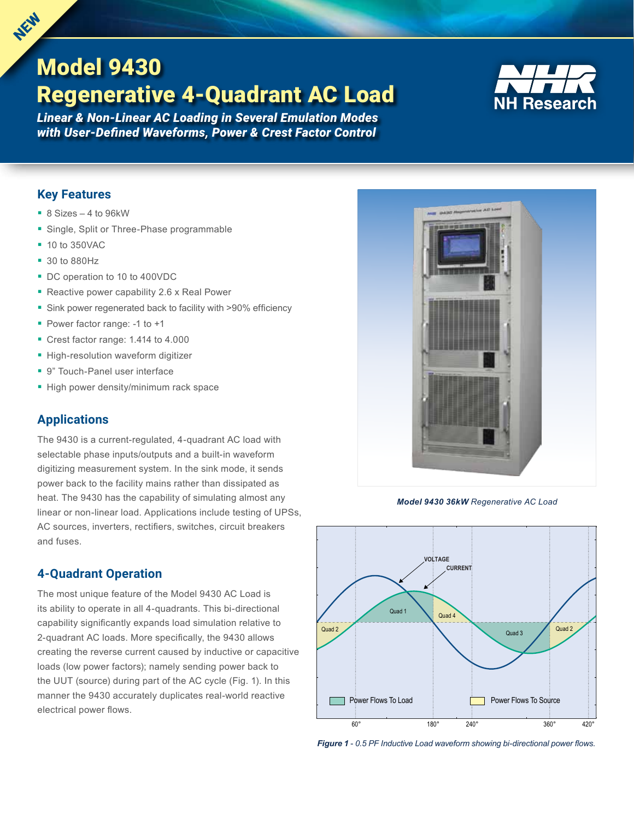# Model 9430 Regenerative 4-Quadrant AC Load



*Linear & Non-Linear AC Loading in Several Emulation Modes with User-Defined Waveforms, Power & Crest Factor Control*

## **Key Features**

**NEW** NEW

- 8 Sizes 4 to 96kW
- **Single, Split or Three-Phase programmable**
- 10 to 350VAC
- 30 to 880Hz
- DC operation to 10 to 400VDC
- Reactive power capability 2.6 x Real Power
- **Sink power regenerated back to facility with >90% efficiency**
- **Power factor range: -1 to +1**
- Crest factor range: 1.414 to 4.000
- **High-resolution waveform digitizer**
- 9" Touch-Panel user interface
- High power density/minimum rack space

## **Applications**

The 9430 is a current-regulated, 4-quadrant AC load with selectable phase inputs/outputs and a built-in waveform digitizing measurement system. In the sink mode, it sends power back to the facility mains rather than dissipated as heat. The 9430 has the capability of simulating almost any linear or non-linear load. Applications include testing of UPSs, AC sources, inverters, rectifiers, switches, circuit breakers and fuses.

## **4-Quadrant Operation**

The most unique feature of the Model 9430 AC Load is its ability to operate in all 4-quadrants. This bi-directional capability significantly expands load simulation relative to 2-quadrant AC loads. More specifically, the 9430 allows creating the reverse current caused by inductive or capacitive loads (low power factors); namely sending power back to the UUT (source) during part of the AC cycle (Fig. 1). In this manner the 9430 accurately duplicates real-world reactive electrical power flows.



*Model 9430 36kW Regenerative AC Load*



*Figure 1* - *0.5 PF Inductive Load waveform showing bi-directional power flows.*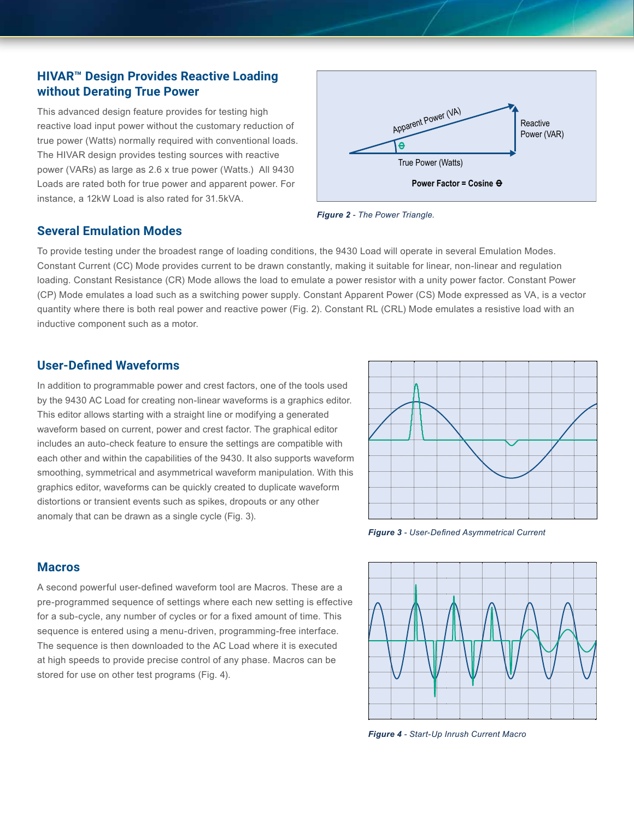## **HIVAR™ Design Provides Reactive Loading without Derating True Power**

This advanced design feature provides for testing high reactive load input power without the customary reduction of true power (Watts) normally required with conventional loads. The HIVAR design provides testing sources with reactive power (VARs) as large as 2.6 x true power (Watts.) All 9430 Loads are rated both for true power and apparent power. For instance, a 12kW Load is also rated for 31.5kVA.



*Figure 2 - The Power Triangle.*

### **Several Emulation Modes**

To provide testing under the broadest range of loading conditions, the 9430 Load will operate in several Emulation Modes. Constant Current (CC) Mode provides current to be drawn constantly, making it suitable for linear, non-linear and regulation loading. Constant Resistance (CR) Mode allows the load to emulate a power resistor with a unity power factor. Constant Power (CP) Mode emulates a load such as a switching power supply. Constant Apparent Power (CS) Mode expressed as VA, is a vector quantity where there is both real power and reactive power (Fig. 2). Constant RL (CRL) Mode emulates a resistive load with an inductive component such as a motor.

## **User-Defined Waveforms**

In addition to programmable power and crest factors, one of the tools used by the 9430 AC Load for creating non-linear waveforms is a graphics editor. This editor allows starting with a straight line or modifying a generated waveform based on current, power and crest factor. The graphical editor includes an auto-check feature to ensure the settings are compatible with each other and within the capabilities of the 9430. It also supports waveform smoothing, symmetrical and asymmetrical waveform manipulation. With this graphics editor, waveforms can be quickly created to duplicate waveform distortions or transient events such as spikes, dropouts or any other anomaly that can be drawn as a single cycle (Fig. 3).



*Figure 3 - User-Defined Asymmetrical Current*

### **Macros**

A second powerful user-defined waveform tool are Macros. These are a pre-programmed sequence of settings where each new setting is effective for a sub-cycle, any number of cycles or for a fixed amount of time. This sequence is entered using a menu-driven, programming-free interface. The sequence is then downloaded to the AC Load where it is executed at high speeds to provide precise control of any phase. Macros can be stored for use on other test programs (Fig. 4).



*Figure 4 - Start-Up Inrush Current Macro*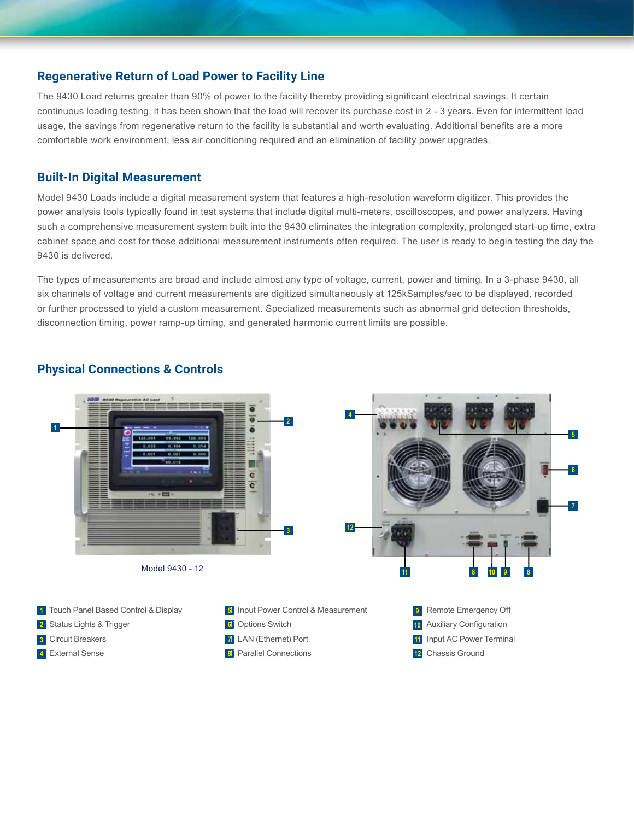#### **Regenerative Return of Load Power to Facility Line**

The 9430 Load returns greater than 90% of power to the facility thereby providing significant electrical savings. It certain continuous loading testing, it has been shown that the load will recover its purchase cost in 2 - 3 years. Even for intermittent load usage, the savings from regenerative return to the facility is substantial and worth evaluating. Additional benefits are a more comfortable work environment, less air conditioning required and an elimination of facility power upgrades.

#### **Built-In Digital Measurement**

Model 9430 Loads include a digital measurement system that features a high-resolution waveform digitizer. This provides the power analysis tools typically found in test systems that include digital multi-meters, oscilloscopes, and power analyzers. Having such a comprehensive measurement system built into the 9430 eliminates the integration complexity, prolonged start-up time, extra cabinet space and cost for those additional measurement instruments often required. The user is ready to begin testing the day the 9430 is delivered.

The types of measurements are broad and include almost any type of voltage, current, power and timing. In a 3-phase 9430, all six channels of voltage and current measurements are digitized simultaneously at 125kSamples/sec to be displayed, recorded or further processed to yield a custom measurement. Specialized measurements such as abnormal grid detection thresholds, disconnection timing, power ramp-up timing, and generated harmonic current limits are possible.



### **Physical Connections & Controls**